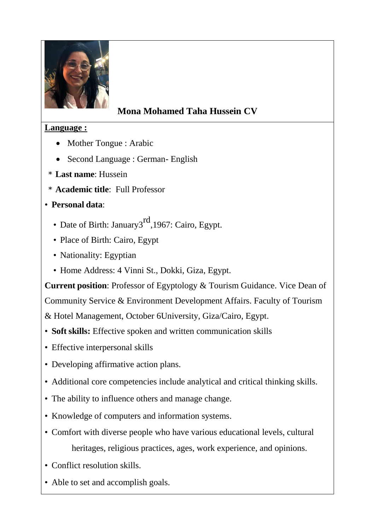

# **Mona Mohamed Taha Hussein CV**

### **Language :**

- Mother Tongue : Arabic
- Second Language : German- English
- \* **Last name**: Hussein
- \* **Academic title**: Full Professor

# • **Personal data**:

- Date of Birth: January3<sup>rd</sup>, 1967: Cairo, Egypt.
- Place of Birth: Cairo, Egypt
- Nationality: Egyptian
- Home Address: 4 Vinni St., Dokki, Giza, Egypt.

**Current position**: Professor of Egyptology & Tourism Guidance. Vice Dean of Community Service & Environment Development Affairs. Faculty of Tourism & Hotel Management, October 6University, Giza/Cairo, Egypt.

- **Soft skills:** Effective spoken and written communication skills
- Effective interpersonal skills
- Developing affirmative action plans.
- Additional core competencies include analytical and critical thinking skills.
- The ability to influence others and manage change.
- Knowledge of computers and information systems.
- Comfort with diverse people who have various educational levels, cultural heritages, religious practices, ages, work experience, and opinions.
- Conflict resolution skills.
- Able to set and accomplish goals.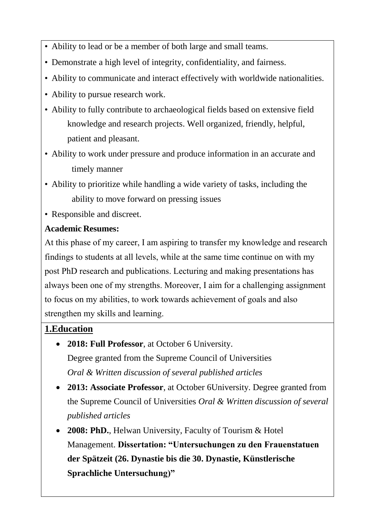- Ability to lead or be a member of both large and small teams.
- Demonstrate a high level of integrity, confidentiality, and fairness.
- Ability to communicate and interact effectively with worldwide nationalities.
- Ability to pursue research work.
- Ability to fully contribute to archaeological fields based on extensive field knowledge and research projects. Well organized, friendly, helpful, patient and pleasant.
- Ability to work under pressure and produce information in an accurate and timely manner
- Ability to prioritize while handling a wide variety of tasks, including the ability to move forward on pressing issues
- Responsible and discreet.

### **Academic Resumes:**

At this phase of my career, I am aspiring to transfer my knowledge and research findings to students at all levels, while at the same time continue on with my post PhD research and publications. Lecturing and making presentations has always been one of my strengths. Moreover, I aim for a challenging assignment to focus on my abilities, to work towards achievement of goals and also strengthen my skills and learning.

# **1.Education**

- **2018: Full Professor**, at October 6 University. Degree granted from the Supreme Council of Universities *Oral & Written discussion of several published articles*
- **2013: Associate Professor**, at October 6University. Degree granted from the Supreme Council of Universities *Oral & Written discussion of several published articles*
- **2008: PhD.**, Helwan University, Faculty of Tourism & Hotel Management. **Dissertation: "Untersuchungen zu den Frauenstatuen der Spätzeit (26. Dynastie bis die 30. Dynastie, Künstlerische Sprachliche Untersuchung)"**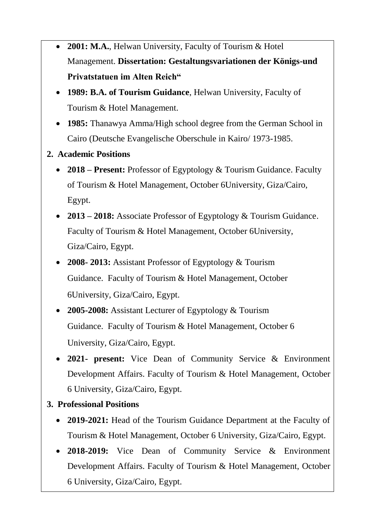- **2001: M.A.**, Helwan University, Faculty of Tourism & Hotel Management. **Dissertation: Gestaltungsvariationen der Königs-und Privatstatuen im Alten Reich"**
- **1989: B.A. of Tourism Guidance**, Helwan University, Faculty of Tourism & Hotel Management.
- **1985:** Thanawya Amma/High school degree from the German School in Cairo (Deutsche Evangelische Oberschule in Kairo/ 1973-1985.
- **2. Academic Positions**
	- **2018 – Present:** Professor of Egyptology & Tourism Guidance. Faculty of Tourism & Hotel Management, October 6University, Giza/Cairo, Egypt.
	- **2013 – 2018:** Associate Professor of Egyptology & Tourism Guidance. Faculty of Tourism & Hotel Management, October 6University, Giza/Cairo, Egypt.
	- **2008- 2013:** Assistant Professor of Egyptology & Tourism Guidance. Faculty of Tourism & Hotel Management, October 6University, Giza/Cairo, Egypt.
	- **2005-2008:** Assistant Lecturer of Egyptology & Tourism Guidance. Faculty of Tourism & Hotel Management, October 6 University, Giza/Cairo, Egypt.
	- **2021- present:** Vice Dean of Community Service & Environment Development Affairs. Faculty of Tourism & Hotel Management, October 6 University, Giza/Cairo, Egypt.
- **3. Professional Positions**
	- **2019-2021:** Head of the Tourism Guidance Department at the Faculty of Tourism & Hotel Management, October 6 University, Giza/Cairo, Egypt.
	- **2018-2019:** Vice Dean of Community Service & Environment Development Affairs. Faculty of Tourism & Hotel Management, October 6 University, Giza/Cairo, Egypt.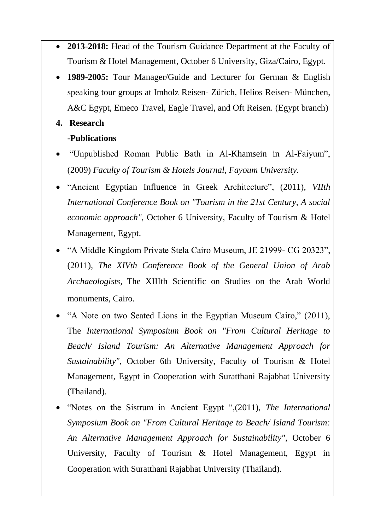- **2013-2018:** Head of the Tourism Guidance Department at the Faculty of Tourism & Hotel Management, October 6 University, Giza/Cairo, Egypt.
- **1989-2005:** Tour Manager/Guide and Lecturer for German & English speaking tour groups at Imholz Reisen- Zürich, Helios Reisen- München, A&C Egypt, Emeco Travel, Eagle Travel, and Oft Reisen. (Egypt branch)

#### **4. Research**

#### **-Publications**

- "Unpublished Roman Public Bath in Al-Khamsein in Al-Faiyum", (2009) *Faculty of Tourism & Hotels Journal, Fayoum University.*
- "Ancient Egyptian Influence in Greek Architecture", (2011), *VIIth International Conference Book on "Tourism in the 21st Century, A social economic approach",* October 6 University, Faculty of Tourism & Hotel Management, Egypt.
- "A Middle Kingdom Private Stela Cairo Museum, JE 21999- CG 20323", (2011), *The XIVth Conference Book of the General Union of Arab Archaeologists,* The XIIIth Scientific on Studies on the Arab World monuments, Cairo.
- "A Note on two Seated Lions in the Egyptian Museum Cairo," (2011), The *International Symposium Book on "From Cultural Heritage to Beach/ Island Tourism: An Alternative Management Approach for Sustainability"*, October 6th University, Faculty of Tourism & Hotel Management, Egypt in Cooperation with Suratthani Rajabhat University (Thailand).
- "Notes on the Sistrum in Ancient Egypt ",(2011), *The International Symposium Book on "From Cultural Heritage to Beach/ Island Tourism: An Alternative Management Approach for Sustainability"*, October 6 University, Faculty of Tourism & Hotel Management, Egypt in Cooperation with Suratthani Rajabhat University (Thailand).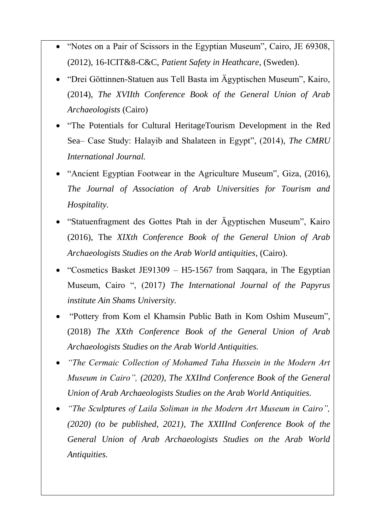- "Notes on a Pair of Scissors in the Egyptian Museum", Cairo, JE 69308, (2012), 16-ICIT&8-C&C, *Patient Safety in Heathcare*, (Sweden).
- "Drei Göttinnen-Statuen aus Tell Basta im Ägyptischen Museum", Kairo, (2014), *The XVIIth Conference Book of the General Union of Arab Archaeologists* (Cairo)
- "The Potentials for Cultural HeritageTourism Development in the Red Sea– Case Study: Halayib and Shalateen in Egypt", (2014), *The CMRU International Journal.*
- "Ancient Egyptian Footwear in the Agriculture Museum", Giza, (2016), *The Journal of Association of Arab Universities for Tourism and Hospitality.*
- "Statuenfragment des Gottes Ptah in der Ägyptischen Museum", Kairo (2016), The *XIXth Conference Book of the General Union of Arab Archaeologists Studies on the Arab World antiquities*, (Cairo).
- "Cosmetics Basket JE91309 H5-1567 from Saqqara, in The Egyptian Museum, Cairo ", (2017*) The International Journal of the Papyrus institute Ain Shams University.*
- "Pottery from Kom el Khamsin Public Bath in Kom Oshim Museum", (2018) *The XXth Conference Book of the General Union of Arab Archaeologists Studies on the Arab World Antiquities.*
- *"The Cermaic Collection of Mohamed Taha Hussein in the Modern Art Museum in Cairo", (2020), The XXIInd Conference Book of the General Union of Arab Archaeologists Studies on the Arab World Antiquities.*
- *"The Sculptures of Laila Soliman in the Modern Art Museum in Cairo", (2020) (to be published, 2021), The XXIIInd Conference Book of the General Union of Arab Archaeologists Studies on the Arab World Antiquities.*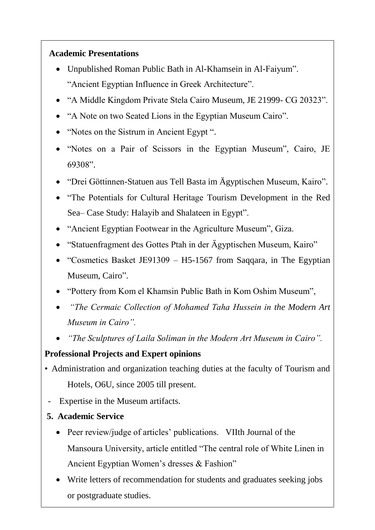#### **Academic Presentations**

- Unpublished Roman Public Bath in Al-Khamsein in Al-Faiyum". "Ancient Egyptian Influence in Greek Architecture".
- "A Middle Kingdom Private Stela Cairo Museum, JE 21999- CG 20323".
- "A Note on two Seated Lions in the Egyptian Museum Cairo".
- "Notes on the Sistrum in Ancient Egypt".
- "Notes on a Pair of Scissors in the Egyptian Museum", Cairo, JE 69308".
- "Drei Göttinnen-Statuen aus Tell Basta im Ägyptischen Museum, Kairo".
- "The Potentials for Cultural Heritage Tourism Development in the Red Sea– Case Study: Halayib and Shalateen in Egypt".
- "Ancient Egyptian Footwear in the Agriculture Museum", Giza.
- "Statuenfragment des Gottes Ptah in der Ägyptischen Museum, Kairo"
- "Cosmetics Basket JE91309 H5-1567 from Sagqara, in The Egyptian Museum, Cairo".
- "Pottery from Kom el Khamsin Public Bath in Kom Oshim Museum",
- *"The Cermaic Collection of Mohamed Taha Hussein in the Modern Art Museum in Cairo".*
- *"The Sculptures of Laila Soliman in the Modern Art Museum in Cairo".*

### **Professional Projects and Expert opinions**

- Administration and organization teaching duties at the faculty of Tourism and Hotels, O6U, since 2005 till present.
- Expertise in the Museum artifacts.
- **5. Academic Service**
	- Peer review/judge of articles' publications. VIIth Journal of the Mansoura University, article entitled "The central role of White Linen in Ancient Egyptian Women's dresses & Fashion"
	- Write letters of recommendation for students and graduates seeking jobs or postgraduate studies.